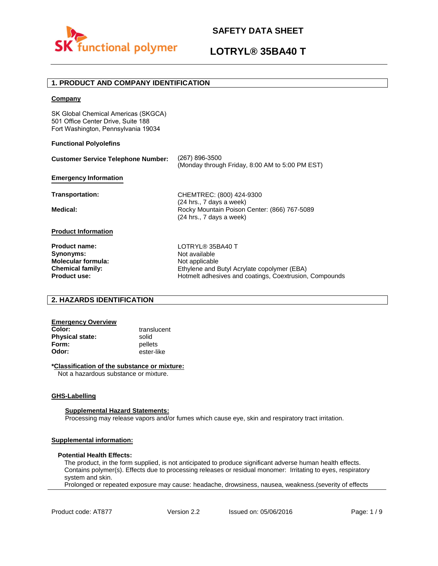

## **LOTRYL® 35BA40 T**

## **1. PRODUCT AND COMPANY IDENTIFICATION**

### **Company**

SK Global Chemical Americas (SKGCA) 501 Office Center Drive, Suite 188 Fort Washington, Pennsylvania 19034

### **Functional Polyolefins**

| <b>Customer Service Telephone Number:</b>                                                                 | (267) 896-3500<br>(Monday through Friday, 8:00 AM to 5:00 PM EST)                                                                                            |
|-----------------------------------------------------------------------------------------------------------|--------------------------------------------------------------------------------------------------------------------------------------------------------------|
| <b>Emergency Information</b>                                                                              |                                                                                                                                                              |
| Transportation:                                                                                           | CHEMTREC: (800) 424-9300                                                                                                                                     |
| Medical:                                                                                                  | (24 hrs., 7 days a week)<br>Rocky Mountain Poison Center: (866) 767-5089<br>(24 hrs., 7 days a week)                                                         |
| <b>Product Information</b>                                                                                |                                                                                                                                                              |
| <b>Product name:</b><br>Synonyms:<br>Molecular formula:<br><b>Chemical family:</b><br><b>Product use:</b> | LOTRYL® 35BA40 T<br>Not available<br>Not applicable<br>Ethylene and Butyl Acrylate copolymer (EBA)<br>Hotmelt adhesives and coatings, Coextrusion, Compounds |

## **2. HAZARDS IDENTIFICATION**

# **Emergency Overview**

**Physical state:** solid<br> **Form:** nellet **Form:** pellets<br> **Odor:** ester-li

**Color:** translucent **Odor:** ester-like

### **\*Classification of the substance or mixture:**

Not a hazardous substance or mixture.

#### **GHS-Labelling**

#### **Supplemental Hazard Statements:**

Processing may release vapors and/or fumes which cause eye, skin and respiratory tract irritation.

## **Supplemental information:**

### **Potential Health Effects:**

The product, in the form supplied, is not anticipated to produce significant adverse human health effects. Contains polymer(s). Effects due to processing releases or residual monomer: Irritating to eyes, respiratory system and skin.

Prolonged or repeated exposure may cause: headache, drowsiness, nausea, weakness.(severity of effects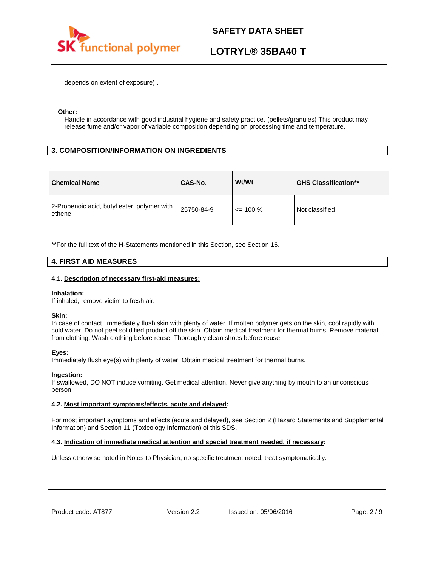

## **LOTRYL® 35BA40 T**

depends on extent of exposure) .

### **Other:**

Handle in accordance with good industrial hygiene and safety practice. (pellets/granules) This product may release fume and/or vapor of variable composition depending on processing time and temperature.

## **3. COMPOSITION/INFORMATION ON INGREDIENTS**

| <b>Chemical Name</b>                                  | CAS-No.    | Wt/Wt        | <b>GHS Classification**</b> |
|-------------------------------------------------------|------------|--------------|-----------------------------|
| 2-Propenoic acid, butyl ester, polymer with<br>ethene | 25750-84-9 | $\leq$ 100 % | Not classified              |

\*\*For the full text of the H-Statements mentioned in this Section, see Section 16.

### **4. FIRST AID MEASURES**

### **4.1. Description of necessary first-aid measures:**

#### **Inhalation:**

If inhaled, remove victim to fresh air.

### **Skin:**

In case of contact, immediately flush skin with plenty of water. If molten polymer gets on the skin, cool rapidly with cold water. Do not peel solidified product off the skin. Obtain medical treatment for thermal burns. Remove material from clothing. Wash clothing before reuse. Thoroughly clean shoes before reuse.

### **Eyes:**

Immediately flush eye(s) with plenty of water. Obtain medical treatment for thermal burns.

### **Ingestion:**

If swallowed, DO NOT induce vomiting. Get medical attention. Never give anything by mouth to an unconscious person.

### **4.2. Most important symptoms/effects, acute and delayed:**

For most important symptoms and effects (acute and delayed), see Section 2 (Hazard Statements and Supplemental Information) and Section 11 (Toxicology Information) of this SDS.

### **4.3. Indication of immediate medical attention and special treatment needed, if necessary:**

Unless otherwise noted in Notes to Physician, no specific treatment noted; treat symptomatically.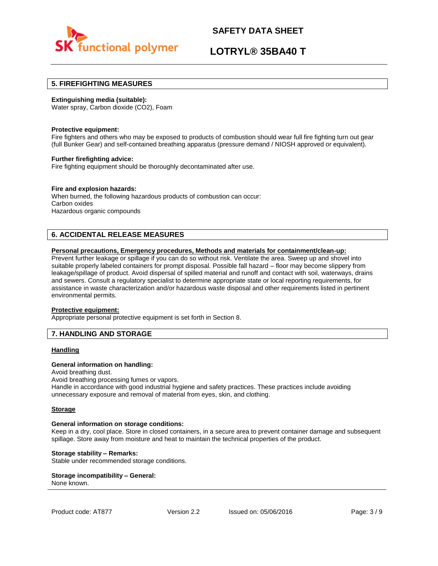

## **LOTRYL® 35BA40 T**

### **5. FIREFIGHTING MEASURES**

### **Extinguishing media (suitable):**

Water spray, Carbon dioxide (CO2), Foam

#### **Protective equipment:**

Fire fighters and others who may be exposed to products of combustion should wear full fire fighting turn out gear (full Bunker Gear) and self-contained breathing apparatus (pressure demand / NIOSH approved or equivalent).

### **Further firefighting advice:**

Fire fighting equipment should be thoroughly decontaminated after use.

### **Fire and explosion hazards:**

When burned, the following hazardous products of combustion can occur: Carbon oxides Hazardous organic compounds

## **6. ACCIDENTAL RELEASE MEASURES**

### **Personal precautions, Emergency procedures, Methods and materials for containment/clean-up:**

Prevent further leakage or spillage if you can do so without risk. Ventilate the area. Sweep up and shovel into suitable properly labeled containers for prompt disposal. Possible fall hazard – floor may become slippery from leakage/spillage of product. Avoid dispersal of spilled material and runoff and contact with soil, waterways, drains and sewers. Consult a regulatory specialist to determine appropriate state or local reporting requirements, for assistance in waste characterization and/or hazardous waste disposal and other requirements listed in pertinent environmental permits.

#### **Protective equipment:**

Appropriate personal protective equipment is set forth in Section 8.

## **7. HANDLING AND STORAGE**

### **Handling**

#### **General information on handling:**

Avoid breathing dust.

Avoid breathing processing fumes or vapors.

Handle in accordance with good industrial hygiene and safety practices. These practices include avoiding unnecessary exposure and removal of material from eyes, skin, and clothing.

#### **Storage**

#### **General information on storage conditions:**

Keep in a dry, cool place. Store in closed containers, in a secure area to prevent container damage and subsequent spillage. Store away from moisture and heat to maintain the technical properties of the product.

### **Storage stability – Remarks:**

Stable under recommended storage conditions.

#### **Storage incompatibility – General:**  None known.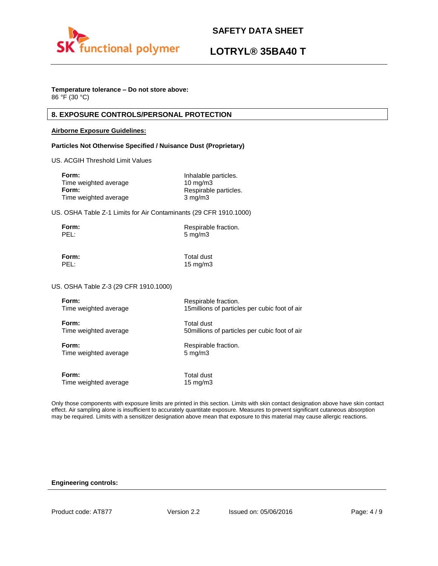

## **LOTRYL® 35BA40 T**

## **Temperature tolerance – Do not store above:**

86 °F (30 °C)

## **8. EXPOSURE CONTROLS/PERSONAL PROTECTION**

### **Airborne Exposure Guidelines:**

### **Particles Not Otherwise Specified / Nuisance Dust (Proprietary)**

US. ACGIH Threshold Limit Values

| Inhalable particles.  |
|-----------------------|
| $10 \text{ mg/m}$     |
| Respirable particles. |
| $3 \text{ mg/m}$      |
|                       |

US. OSHA Table Z-1 Limits for Air Contaminants (29 CFR 1910.1000)

| Form: | Respirable fraction. |
|-------|----------------------|
| PEL:  | $5 \text{ mg/m}$     |

**Form:** Total dust PEL: 15 mg/m3

US. OSHA Table Z-3 (29 CFR 1910.1000)

| Form:                 | Respirable fraction.                           |
|-----------------------|------------------------------------------------|
| Time weighted average | 15 millions of particles per cubic foot of air |
| Form:                 | Total dust                                     |
| Time weighted average | 50 millions of particles per cubic foot of air |
| Form:                 | Respirable fraction.                           |
| Time weighted average | $5 \text{ mg/m}$                               |
| Form:                 | Total dust                                     |
| Time weighted average | $15 \text{ mg/m}$                              |

Only those components with exposure limits are printed in this section. Limits with skin contact designation above have skin contact effect. Air sampling alone is insufficient to accurately quantitate exposure. Measures to prevent significant cutaneous absorption may be required. Limits with a sensitizer designation above mean that exposure to this material may cause allergic reactions.

### **Engineering controls:**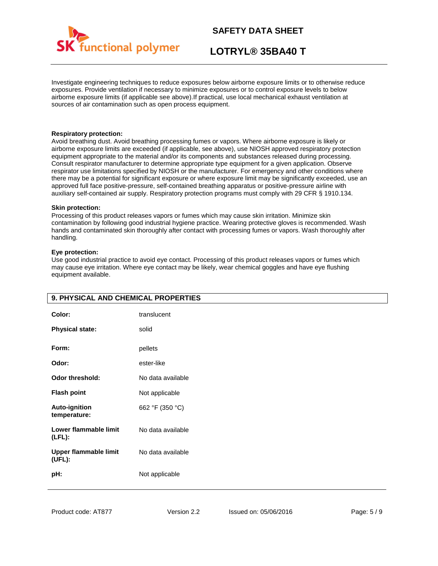

## **LOTRYL® 35BA40 T**

Investigate engineering techniques to reduce exposures below airborne exposure limits or to otherwise reduce exposures. Provide ventilation if necessary to minimize exposures or to control exposure levels to below airborne exposure limits (if applicable see above).If practical, use local mechanical exhaust ventilation at sources of air contamination such as open process equipment.

### **Respiratory protection:**

Avoid breathing dust. Avoid breathing processing fumes or vapors. Where airborne exposure is likely or airborne exposure limits are exceeded (if applicable, see above), use NIOSH approved respiratory protection equipment appropriate to the material and/or its components and substances released during processing. Consult respirator manufacturer to determine appropriate type equipment for a given application. Observe respirator use limitations specified by NIOSH or the manufacturer. For emergency and other conditions where there may be a potential for significant exposure or where exposure limit may be significantly exceeded, use an approved full face positive-pressure, self-contained breathing apparatus or positive-pressure airline with auxiliary self-contained air supply. Respiratory protection programs must comply with 29 CFR § 1910.134.

### **Skin protection:**

Processing of this product releases vapors or fumes which may cause skin irritation. Minimize skin contamination by following good industrial hygiene practice. Wearing protective gloves is recommended. Wash hands and contaminated skin thoroughly after contact with processing fumes or vapors. Wash thoroughly after handling.

### **Eye protection:**

Use good industrial practice to avoid eye contact. Processing of this product releases vapors or fumes which may cause eye irritation. Where eye contact may be likely, wear chemical goggles and have eye flushing equipment available.

| Color:<br><b>Physical state:</b>       | translucent<br>solid |
|----------------------------------------|----------------------|
| Form:                                  | pellets              |
| Odor:                                  | ester-like           |
| <b>Odor threshold:</b>                 | No data available    |
| <b>Flash point</b>                     | Not applicable       |
| <b>Auto-ignition</b><br>temperature:   | 662 °F (350 °C)      |
| Lower flammable limit<br>$(LFL)$ :     | No data available    |
| <b>Upper flammable limit</b><br>(UEL): | No data available    |
| pH:                                    | Not applicable       |

## **9. PHYSICAL AND CHEMICAL PROPERTIES**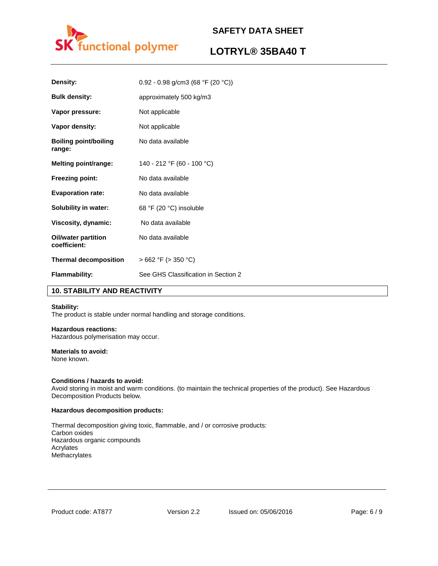

## **LOTRYL® 35BA40 T**

| Density:                            | 0.92 - 0.98 g/cm3 (68 °F (20 °C))   |
|-------------------------------------|-------------------------------------|
| <b>Bulk density:</b>                | approximately 500 kg/m3             |
| Vapor pressure:                     | Not applicable                      |
| Vapor density:                      | Not applicable                      |
| Boiling point/boiling<br>range:     | No data available                   |
| Melting point/range:                | 140 - 212 °F (60 - 100 °C)          |
| <b>Freezing point:</b>              | No data available                   |
| <b>Evaporation rate:</b>            | No data available                   |
| Solubility in water:                | 68 °F (20 °C) insoluble             |
| Viscosity, dynamic:                 | No data available                   |
| Oil/water partition<br>coefficient: | No data available                   |
| <b>Thermal decomposition</b>        | $>662$ °F ( $>350$ °C)              |
| <b>Flammability:</b>                | See GHS Classification in Section 2 |

## **10. STABILITY AND REACTIVITY**

### **Stability:**

The product is stable under normal handling and storage conditions.

## **Hazardous reactions:**

Hazardous polymerisation may occur.

## **Materials to avoid:**

None known.

### **Conditions / hazards to avoid:**

Avoid storing in moist and warm conditions. (to maintain the technical properties of the product). See Hazardous Decomposition Products below.

#### **Hazardous decomposition products:**

Thermal decomposition giving toxic, flammable, and / or corrosive products: Carbon oxides Hazardous organic compounds Acrylates Methacrylates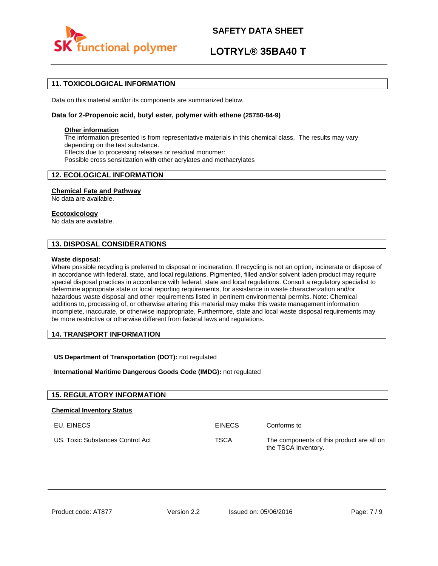

## **LOTRYL® 35BA40 T**

## **11. TOXICOLOGICAL INFORMATION**

Data on this material and/or its components are summarized below.

### **Data for 2-Propenoic acid, butyl ester, polymer with ethene (25750-84-9)**

### **Other information**

The information presented is from representative materials in this chemical class. The results may vary depending on the test substance. Effects due to processing releases or residual monomer: Possible cross sensitization with other acrylates and methacrylates

## **12. ECOLOGICAL INFORMATION**

### **Chemical Fate and Pathway**

No data are available.

#### **Ecotoxicology**

No data are available.

## **13. DISPOSAL CONSIDERATIONS**

#### **Waste disposal:**

Where possible recycling is preferred to disposal or incineration. If recycling is not an option, incinerate or dispose of in accordance with federal, state, and local regulations. Pigmented, filled and/or solvent laden product may require special disposal practices in accordance with federal, state and local regulations. Consult a regulatory specialist to determine appropriate state or local reporting requirements, for assistance in waste characterization and/or hazardous waste disposal and other requirements listed in pertinent environmental permits. Note: Chemical additions to, processing of, or otherwise altering this material may make this waste management information incomplete, inaccurate, or otherwise inappropriate. Furthermore, state and local waste disposal requirements may be more restrictive or otherwise different from federal laws and regulations.

## **14. TRANSPORT INFORMATION**

### **US Department of Transportation (DOT):** not regulated

**International Maritime Dangerous Goods Code (IMDG):** not regulated

| <b>15. REGULATORY INFORMATION</b> |               |                                                                  |
|-----------------------------------|---------------|------------------------------------------------------------------|
| <b>Chemical Inventory Status</b>  |               |                                                                  |
| EU. EINECS                        | <b>EINECS</b> | Conforms to                                                      |
| US. Toxic Substances Control Act  | <b>TSCA</b>   | The components of this product are all on<br>the TSCA Inventory. |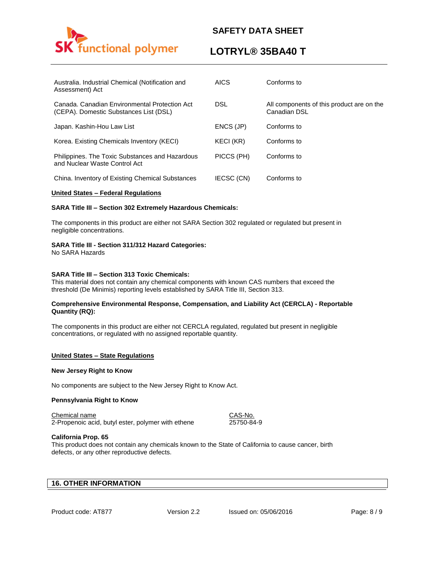

## **LOTRYL® 35BA40 T**

| Australia. Industrial Chemical (Notification and<br>Assessment) Act                     | <b>AICS</b> | Conforms to                                               |
|-----------------------------------------------------------------------------------------|-------------|-----------------------------------------------------------|
| Canada, Canadian Environmental Protection Act<br>(CEPA). Domestic Substances List (DSL) | <b>DSL</b>  | All components of this product are on the<br>Canadian DSL |
| Japan. Kashin-Hou Law List                                                              | ENCS (JP)   | Conforms to                                               |
| Korea. Existing Chemicals Inventory (KECI)                                              | KECI (KR)   | Conforms to                                               |
| Philippines. The Toxic Substances and Hazardous<br>and Nuclear Waste Control Act        | PICCS (PH)  | Conforms to                                               |
| China. Inventory of Existing Chemical Substances                                        | IECSC (CN)  | Conforms to                                               |

### **United States – Federal Regulations**

### **SARA Title III – Section 302 Extremely Hazardous Chemicals:**

The components in this product are either not SARA Section 302 regulated or regulated but present in negligible concentrations.

### **SARA Title III - Section 311/312 Hazard Categories:**

No SARA Hazards

### **SARA Title III – Section 313 Toxic Chemicals:**

This material does not contain any chemical components with known CAS numbers that exceed the threshold (De Minimis) reporting levels established by SARA Title III, Section 313.

### **Comprehensive Environmental Response, Compensation, and Liability Act (CERCLA) - Reportable Quantity (RQ):**

The components in this product are either not CERCLA regulated, regulated but present in negligible concentrations, or regulated with no assigned reportable quantity.

### **United States – State Regulations**

#### **New Jersey Right to Know**

No components are subject to the New Jersey Right to Know Act.

### **Pennsylvania Right to Know**

Chemical name CAS-No.

2-Propenoic acid, butyl ester, polymer with ethene 25750-84-9

### **California Prop. 65**

This product does not contain any chemicals known to the State of California to cause cancer, birth defects, or any other reproductive defects.

## **16. OTHER INFORMATION**